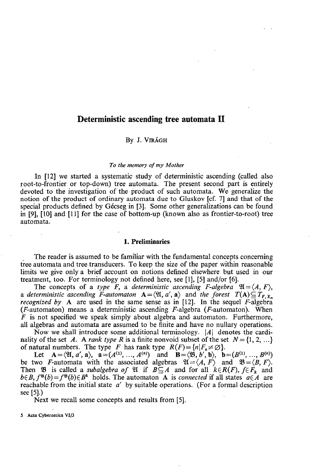# **Deterministic ascending tree automata II**

## By J. VIRÁGH

#### *To the memory of my Mother*

In [12] we started a systematic study of deterministic ascending (called also root-to-frontier or top-down) tree automata. The present second part is entirely devoted to the investigation of the product of such automata. We generalize the notion of the product of ordinary automata due to Gluskov [cf. 7] and that of the special products defined by Gécseg in [3]. Some other generalizations can be found in [9], [10] and [11] for the case of bottom-up (known also as frontier-to-root) tree automata.

### **1. Preliminaries**

The reader is assumed to be familiar with the fundamental concepts concerning tree automata and tree transducers. To keep the size of the paper within reasonable limits we give only a brief account on notions defined elsewhere but used in our treatment, too. For terminology not defined here, see [1], [5] and/or [6].

The concepts of a type F, a deterministic ascending F-algebra  $\mathfrak{A} = \langle A, F \rangle$ , a deterministic ascending F-automaton  $A = \langle \mathfrak{A}, a', \mathfrak{a} \rangle$  and the forest  $T(A) \subseteq T_{F, X_n}$ *recognized by* A are used in the same sense as in  $[12]$ . In the sequel  $\overrightarrow{F}$ -algebra ( $F$ -automaton) means a deterministic ascending  $F$ -algebra ( $F$ -automaton). When  $\overline{F}$  is not specified we speak simply about algebra and automaton. Furthermore, all algebras and automata are assumed to be finite and have no nullary operations.

Now we shall introduce some additional terminology. |A| denotes the cardinality of the set A. A *rank type* R is a finite nonvoid subset of the set  $N = \{1, 2, ...\}$ of natural numbers. The type *F* has rank type  $R(F) = \{n | F_n \neq \emptyset\}.$ 

Let  $\mathbf{A} = \langle \mathfrak{A}, a', \mathfrak{a} \rangle$ ,  $\mathfrak{a} = (A^{(1)}, \dots, A^{(n)})$  and  $\mathbf{B} = \langle \mathfrak{B}, b', \mathfrak{b} \rangle$ ,  $\mathfrak{b} = (B^{(1)}, \dots, B^{(n)})$ be two *F*-automata with the associated algebras  $\mathfrak{A} = \langle A, F \rangle$  and  $\mathfrak{B} = \langle B, F \rangle$ . Then  $\mathfrak{B}$  is called a *subalgebra of*  $\mathfrak{A}$  if  $B \subseteq A$  and for all  $k \in R(F)$ ,  $f \in F_k$  and  $b \in B$ ,  $f^{\mathfrak{A}}(b) = f^{\mathfrak{B}}(b) \in B^k$  holds. The automaton A is *connected* if all states  $a \in A$  are reachable from the initial state *a'* by suitable operations. (For a formal description see [5].)

Next we recall some concepts and results from [5].

5 Acta Cybernetica VI/3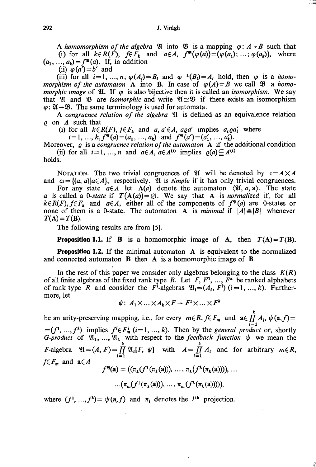A homomorphism of the algebra  $\mathfrak A$  into  $\mathfrak B$  is a mapping  $\varphi: A \rightarrow B$  such that (i) for all  $k \in R(F)$ ,  $f \in F_k$  and  $a \in A$ ,  $f^{\mathfrak{B}}(\varphi(a)) = (\varphi(a_1); \ldots; \varphi(a_k))$ , where  $(a_1, ..., a_k) = f^{\mathfrak{A}}(a)$ . If, in addition

(ii)  $\varphi(a')=b'$  and

(iii) for all  $i = 1, ..., n$ ;  $\varphi(A_i) = B_i$  and  $\varphi^{-1}(B_i) = A_i$  hold, then  $\varphi$  is a *homomorphism of the automaton* A into B. In case of  $\varphi(A) = B$  we call  $\mathfrak{B}$  a *homomorphic image* of  $\mathfrak{A}$ . If  $\varphi$  is also bijective then it is called an *isomorphism*. We say that  $\mathfrak A$  and  $\mathfrak B$  are *isomorphic* and write  $\mathfrak A \cong \mathfrak B$  if there exists an isomorphism  $\varphi$ :  $\mathfrak{A} \rightarrow \mathfrak{B}$ . The same terminology is used for automata.

A *congruence relation of the algebra* 21 is defined as an equivalence relation *Q* on *A* such that

(i) for all  $k \in R(F)$ ,  $f \in F_k$  and  $a, a' \in A$ ,  $a \circ a'$  implies  $a_i \circ a'_i$  where

 $i=1, ..., k, f^{\mathfrak{A}}(a)=(a_1, ..., a_k)$  and  $f^{\mathfrak{A}}(a')=(a'_1, ..., a'_k)$ .

Moreover, *Q* is a *congruence relation of the automaton* A if the additional condition (ii) for all  $i=1,\ldots,n$  and  $a \in A$ ,  $a \in A^{(i)}$  implies  $\rho(a) \subseteq A^{(i)}$ 

holds.

NOTATION. The two trivial congruences of  $\mathfrak A$  will be denoted by  $i = A \times A$ and  $\omega = \{(a, a)|a \in A\}$ , respectively. It is *simple* if it has only trivial congruences.

For any state  $a \in A$  let  $A(a)$  denote the automaton  $\langle \mathfrak{A}, a, \mathfrak{a} \rangle$ . The state *a* is called a 0-state if  $T(A(a)) = \emptyset$ . We say that A is *normalized* if, for all  $k \in R(F)$ ,  $f \in F_k$  and  $a \in A$ , either all of the components of  $f^{\mathfrak{A}}(a)$  are 0-states or none of them is a 0-state. The automaton A is *minimal* if  $|A| \leq |B|$  whenever  $T(A) = T(B)$ .

The following results are from [5].

**Proposition 1.1.** If **B** is a homomorphic image of **A**, then  $T(A) = T(B)$ .

**Proposition** 1.2. If the minimal automaton A is equivalent to the normalized and connected automaton B then A is a homomorphic image of B.

In the rest of this paper we consider only algebras belonging to the class  $K(R)$ of all finite algebras of the fixed rank type *R*. Let *F*,  $F^1$ , ...,  $\overline{F}^k$  be ranked alphabets of rank type R and consider the  $F^i$ -algebras  $\mathfrak{A}_i = (A_i, F^i)$  ( $i = 1, ..., k$ ). Furthermore, let

$$
\psi\colon\thinspace\relax A_1\times\ldots\times\relax A_k\times F\rightarrow F^1\times\ldots\times F^1
$$

*k*  be an arity-preserving mapping, i.e., for every  $m \in R$ ,  $f \in F_m$  and  $\mathbf{a} \in \prod_{i=1}^m A_i$ ,  $\psi(\mathbf{a}, f) =$  $=(f^1, \ldots, f^k)$  implies  $f^i \in F^i_m$  ( $i=1, \ldots, k$ ). Then by the *general product* or, shortly *G-product* of  $\mathfrak{A}_1, ..., \mathfrak{A}_k$  with respect to the *feedback function*  $\psi$  we mean the *k k*   $F$ -algebra  $u = (A, F) = \prod_{i=1}^n u_i$ ,  $F, \psi$  with  $A = \prod_{i=1}^n A_i$  and for arbitrary  $m \in K$ ,  $f \in F_m$  and  $a \in A$  $\mathcal{F} = \left( \frac{n_1 \mathbf{U} \cdot (n_1 \mathbf{u})}{n_1 \mathbf{u} \cdot n_2}, \dots, \frac{n_1 \mathbf{U} \cdot (n_k \mathbf{u})}{n_k \mathbf{u} \cdot n_k} \right)$  $\cdots$ ( $\binom{n_m}{J}$  ( $\binom{n_1(a)}{J}$ ,  $\cdots$ ,  $\binom{n_m}{J}$  ( $\binom{n_k(a)J}{J}$ ),

ê

where  $(f^*,...,f^*) = \psi(a, f)$  and  $\pi_i$  denotes the  $i^*$  projection.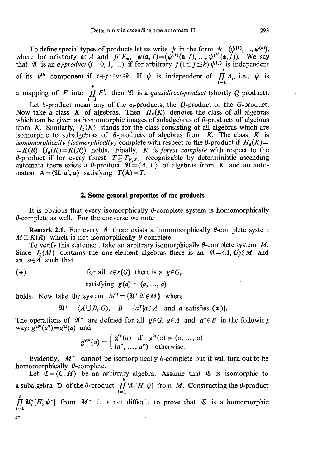To define special types of products let us write  $\psi$  in the form  $\psi = (\psi^{(1)}, ..., \psi^{(k)})$ , where for arbitrary  $a \in A$  and  $f \in F_m$ ,  $\psi(a, f) = (\psi^{(1)}(a, f), ..., \psi^{(k)}(a, f))$ . We say that  $\mathfrak{A}$  is an  $\alpha_i$ -product  $(i = 0, 1, ...)$  if for arbitrary  $j(1 \leq j \leq k) \psi^{(j)}$  is independent *k*  of its  $u^{\text{th}}$  component if  $i+j \leq u \leq k$ . If  $\psi$  is independent of  $\prod_{i=1}^n A_i$ , i.e.,  $\psi$  is **lc**  a mapping of F into  $\iint\limits_{i=1}^{n} F^i$ , then  $\mathfrak A$  is a *quasidirect-product* (shortly Q-product).

Let  $\theta$ -product mean any of the  $\alpha_i$ -products, the Q-product or the G-product. Now take a class K of algebras. Then  $H_{\theta}(K)$  denotes the class of all algebras which can be given as homomorphic images of subalgebras of  $\theta$ -products of algebras from *K*. Similarly,  $I_g(K)$  stands for the class consisting of all algebras which are isomorphic to subalgebras of  $\theta$ -products of algebras from *K*. The class *K* is *homomorphically (isomorphically)* complete with respect to the  $\theta$ -product if  $H_{\theta}(K)$  = *=K(R) (lg(K)=K(R))* holds. Finally, *K* is *forest complete* with respect to the  $\theta$ -product if for every forest  $T \subseteq T_{F, X_n}$  recognizable by deterministic ascending automata there exists a  $\theta$ -product  $\mathfrak{A} = \langle A, F \rangle$  of algebras from K and an automaton  $A = \langle \mathfrak{A}, a', \mathfrak{a} \rangle$  satisfying  $T(A) = T$ .

# **2. Some general properties of the products**

It is obvious that every isomorphically  $\theta$ -complete system is homomorphically  $\theta$ -complete as well. For the converse we note

**Remark 2.1.** For every  $\theta$  there exists a homomorphically  $\theta$ -complete system  $M\subseteq K(R)$  which is not isomorphically  $\theta$ -complete.

To verify this statement take an arbitrary isomorphically  $\theta$ -complete system  $M$ . Since  $I_{\theta}(M)$  contains the one-element algebras there is an  $\mathfrak{A} = \langle A, G \rangle \in M$  and an  $a \in A$  such that

$$
(*)
$$

$$
(*) \t\t for all  $r \in r(G)$  there is a  $g \in G_r$ .
$$

satisfying  $g(a) = (a, ..., a)$ 

holds. Now take the system  $M^* = \{ \mathfrak{A}^* | \mathfrak{A} \in M \}$  where

$$
\mathfrak{A}^* = \langle A \cup B, G \rangle, \quad B = \{a^* | a \in A \quad \text{and} \quad a \text{ satisfies } (*)\}.
$$

The operations of  $\mathfrak{A}^*$  are defined for all  $g \in G$ ,  $a \in A$  and  $a^* \in B$  in the following way:  $g^{\mathfrak{A}^*}(a^*) = g^{\mathfrak{A}}(a)$  and

$$
g^{\mathfrak{A}^*}(a) = \begin{cases} g^{\mathfrak{A}}(a) & \text{if } g^{\mathfrak{A}}(a) \neq (a, ..., a) \\ (a^*, ..., a^*) & \text{otherwise.} \end{cases}
$$

Evidently,  $M^*$  cannot be isomorphically  $\theta$ -complete but it will turn out to be homomorphically  $\theta$ -complete.

Let  $\mathfrak{C} = \langle C, H \rangle$  be an arbitrary algebra. Assume that  $\mathfrak{C}$  is isomorphic to a subalgebra  $\mathfrak D$  of the  $\theta$ -product  $\prod_{i=1}^k \mathfrak{A}_i[H, \psi]$  from *M*. Constructing the  $\theta$ -product  $\prod_{i=1}^k \mathfrak{A}_i^*[H, \psi^*]$  from  $M^*$  it is not difficult to prove that  $\mathfrak{C}$  is a homomorphic **5\***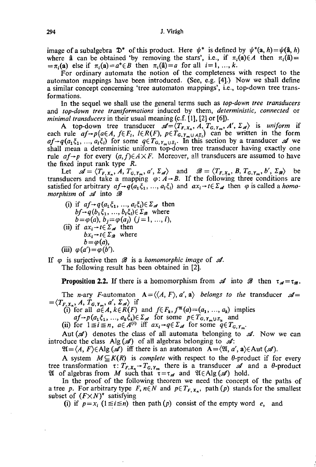image of a subalgebra  $\mathfrak{D}^*$  of this product. Here  $\psi^*$  is defined by  $\psi^*(a, h) = \psi(\hat{a}, h)$ where  $\hat{a}$  can be obtained 'by removing the stars', i.e., if  $\pi_i(\hat{a}) \in A$  then  $\pi_i(\hat{a}) =$  $=\pi$ <sub>*i*</sub>(a) else if  $\pi$ <sub>*i*</sub>(a)=a<sup>\*</sup> $\in$ B then  $\pi$ <sub>*i*</sub>(a)=a for all *i*=1, ..., *k*.

For ordinary automata the notion of the completeness with respect to the automaton mappings have been introduced. (See, e.g. [4].) Now we shall define a similar concept concerning 'tree automaton mappings', i.e., top-down tree transformations.

In the sequel we shall use the general terms such as *top-down tree transducers*  and *top-down tree transformations* induced by them, *deterministic, connected* or *minimal transducers* in their usual meaning (c.f. [1], [2] or [6]).

A top-down tree transducer  $\mathscr{A} = \langle T_{F,X_n}, A, T_{G,Y_m}, A', \Sigma_{\mathscr{A}} \rangle$  is uniform if each rule  $af \rightarrow p(a \in A, f \in F_1, l \in R(F), p \in T_{G,Y_m \cup A \subseteq I}$  can be written in the form  $af \rightarrow q(a_1\xi_1, ..., a_i\xi_i)$  for some  $q \in T_{G,Y_m \cup \overline{z_i}}$ . In this section by a transducer  $\mathscr A$  we shall mean a deterministic uniform top-down tree transducer having exactly one rule  $af \rightarrow p$  for every  $(a, f) \in A \times F$ . Moreover, all transducers are assumed to have the fixed input rank type *R.* 

Let  $\mathscr{A} = \langle T_{F,X_n}, A, T_{G,Y_m}, a', \Sigma_{\mathscr{A}} \rangle$  and  $\mathscr{B} = \langle T_{F,X_n}, B, T_{G,Y_m}, b', \Sigma_{\mathscr{B}} \rangle$  be transducers and take a mapping  $\varphi$ :  $A \rightarrow B$ . If the following three conditions are satisfied for arbitrary  $af \rightarrow q(a_1\xi_1, ..., a_i\xi_i)$  and  $ax_i \rightarrow t \in \Sigma_{af}$  then  $\varphi$  is called a *homomorphism* of  $\mathcal A$  into  $\mathcal B$ 

(i) if  $af \rightarrow q(a_1\xi_1, ..., a_i\xi_i) \in \Sigma_{\mathscr{A}}$  then  $bf\rightarrow q(b_1\xi_1, ..., b_l\xi_l) \in \Sigma_{\mathcal{B}}$  where  $b = \varphi(a), b_j = \varphi(a_j) \ (j = 1, ..., l),$ (ii) if  $ax_i \rightarrow t \in \Sigma_{\mathscr{A}}$  then  $bx_i \rightarrow t \in \Sigma_{\mathcal{B}}$  where  $b = \varphi(a)$ , (iii)  $\varphi(a') = \varphi(b')$ .

If  $\varphi$  is surjective then  $\mathscr B$  is a *homomorphic image* of  $\mathscr A$ . The following result has been obtained in [2].

**Proposition 2.2.** If there is a homomorphism from  $\mathscr A$  into  $\mathscr B$  then  $\tau_{\mathscr A} = \tau_{\mathscr B}$ .

The *n*-ary *F*-automaton  $A = \langle \langle A, F \rangle, a', a \rangle$  belongs to the transducer  $\mathcal{A} =$  $=\langle T_{F,X_n}, A, T_{G,Y_m}, a', \Sigma_{\mathscr{A}} \rangle$  if

(i) for all  $a \in A$ ,  $k \in R(F)$  and  $f \in F_k$ ,  $f^{\mathfrak{A}}(a) = (a_1, \ldots, a_k)$  implies

 $af \rightarrow p(a_1\xi_1, ..., a_k\xi_k) \in \Sigma_{\mathcal{A}}$  for some  $p \in T_{G, Y_m \cup \mathcal{Z}_k}$  and

(ii) for  $1 \le i \le n$ ,  $a \in A^{(i)}$  iff  $ax_i \rightarrow q \in \Sigma_{\mathcal{A}}$  for some  $q \in T_{G,Y_m}$ .

Aut  $({\mathcal{A}})$  denotes the class of all automata belonging to  ${\mathcal{A}}$ . Now we can introduce the class  $\text{Alg}(\mathcal{A})$  of all algebras belonging to  $\mathcal{A}$ :

 $\mathfrak{A} = \langle A, F \rangle \in \text{Alg}(\mathcal{A})$  iff there is an automaton  $A = \langle \mathfrak{A}, a \rangle \in \text{Aut}(\mathcal{A})$ .

A system  $M \subseteq K(R)$  is *complete* with respect to the  $\theta$ -product if for every tree transformation  $\tau: T_{F,X_n} \to T_{G,Y_m}$  there is a transducer  $\mathscr A$  and a  $\theta$ -product 21 of algebras from *M* such that  $\tau = \tau_{\mathscr{A}}$  and  $\mathfrak{A}(\epsilon)$  and  $\mathfrak{A}(\mathscr{A})$  hold.

In the proof of the following theorem we need the concept of the paths of a tree p. For arbitrary type F,  $n \in N$  and  $p \in T_{F, X_n}$ , path (p) stands for the smallest subset of *(FxN)\** satisfying

(i) if  $p = x_i$  ( $l \le i \le n$ ) then path (p) consist of the empty word *e*, and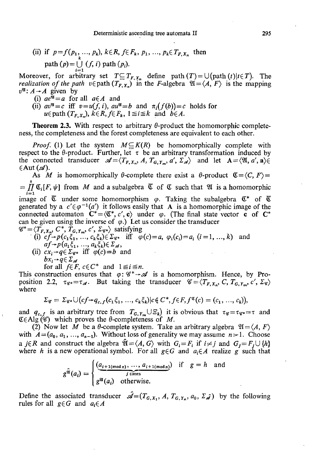(ii) if  $p=f(p_1, ..., p_k)$ ,  $k \in R$ ,  $f \in F_k$ ,  $p_1, ..., p_k \in T_{F, X_n}$  then path  $(p) = \bigcup_{i=1} (f, i)$  path  $(p_i)$ .

Moreover, for arbitrary set  $T \subseteq T_{F, X_n}$  define path  $(T) = \bigcup_{i=1}^n (p_i + T_i)$ . The *realization of the path*  $v \in \text{path}(T_{F,X_n})$  in the *F*-algebra  $\mathfrak{A} = \langle A, F \rangle$  is the mapping  $v^{\mathfrak{A}}$ :  $A \rightarrow A$  given by

- (i)  $ae^{\overline{u}} = a$  for all  $a \in A$  and
- (ii)  $av^{\mathfrak{A}} = c$  iff  $v = u(f, i)$ ,  $au^{\mathfrak{A}} = b$  and  $\pi_i(f(b)) = c$  holds for  $u \in \text{path}(T_{F,X_n}), k \in \mathbb{R}, f \in F_k, 1 \leq i \leq k \text{ and } b \in \mathbb{A}.$

**Theorem 2.3.** With respect to arbitrary  $\theta$ -product the homomorphic completeness, the completeness and the forest completeness are equivalent to each other.

*Proof.* (1) Let the system  $M \subseteq K(R)$  be homomorphically complete with respect to the  $\theta$ -product. Further, let  $\tau$  be an arbitrary transformation induced by the connected transducer  $\mathscr{A} = \langle T_{F,X_n}, A, T_{G,Y_m}, a', \Sigma_{\mathscr{A}} \rangle$  and let  $A = \langle \mathfrak{A}, a', \mathfrak{a} \rangle \in$  $\in$ Aut  $(\mathscr{A})$ .

As M is homomorphically  $\theta$ -complete there exist a  $\theta$ -product  $\mathfrak{C} = \langle C, F \rangle =$ s  $= \iint \mathfrak{C}_i[F, \psi]$  from *M* and a subalgebra  $\mathfrak{C}$  of  $\mathfrak{C}$  such that  $\mathfrak{A}$  is a homomorphic  $i=1$ image of  $\epsilon$  under some homomorphism  $\varphi$ . Taking the subalgebra  $\epsilon$  of  $\epsilon$ generated by a  $c' \in \varphi^{-1}(a')$  it follows easily that A is a homomorphic image of the connected automaton  $C^* = \langle C^*, c', \mathbf{c} \rangle$  under  $\varphi$ . (The final state vector **c** of  $C^*$ can be given using the inverse of  $\varphi$ .) Let us consider the transducer  $\mathscr{C}^* = \langle T_{\mathbf{r},\mathbf{r}}, C^*, T_{\mathbf{r},\mathbf{r}}, \cdot, C', \Sigma_{\varphi} \rangle$  satisfying

$$
\mathscr{C}^* = \langle T_{F,X_n}, C^*, T_{G,Y_m}, c', \Sigma_{\mathscr{C}^*} \rangle \text{ satisfying}
$$

- (1)  $c_j \rightarrow p(c_1\zeta_1, ..., c_k\zeta_k) \in \mathbb{Z}_{\mathscr{C}^*}$  in  $\varphi(c) = a, \varphi_i(c_i) = a_i$  ( $i = 1, ..., k$ ) and
- (ii)  $cx_i \rightarrow q \in \Sigma_{\mathscr{C}^*}$  iff  $\varphi(c)=b$  and  $bx_i\rightarrow q\in \Sigma_{\mathscr{A}}$

for all  $f \in F$ ,  $c \in C^*$  and  $1 \leq i \leq n$ .

This construction ensures that  $\varphi$ :  $\mathscr{C}^* \rightarrow \mathscr{A}$  is a homomorphism. Hence, by Proposition 2.2,  $\tau_{\mathscr{C}} = \tau_{\mathscr{A}}$ . But taking the transducer  $\mathscr{C} = \langle T_{F,X_n}, C, T_{G,Y_m}, c', \Sigma_{\mathscr{C}} \rangle$ where

$$
\Sigma_{\mathscr{C}} = \Sigma_{\mathscr{C}^*} \cup (cf \to q_{c,f}(c_1\xi_1, ..., c_k\xi_k) | c \notin C^*, f \in F, f^{\mathfrak{C}}(c) = (c_1, ..., c_k)),
$$

and  $q_{c,f}$  is an arbitrary tree from  $T_{G,Y_m} \cup \mathcal{E}_k$  it is obvious that  $\tau_{\mathscr{C}} = \tau_{\mathscr{C}^*} = \tau$  and  $E\in Alg$  ( $\mathscr{C}$ ) which proves the  $\theta$ -completeness of *M*.

(2) Now let M be a  $\theta$ -complete system. Take an arbitrary algebra  $\mathfrak{A} = \langle A, F \rangle$ with  $A=(a_0, a_1, ..., a_{n-1})$ . Without loss of generality we may assume  $n>1$ . Choose a *j* $\in$ *R* and construct the algebra  $\mathfrak{A} = \langle A, G \rangle$  with  $G_i = F_i$  if  $i \neq j$  and  $G_j = F_j \cup \{h\}$ where *h* is a new operational symbol. For all  $g \in G$  and  $a_i \in A$  realize g such that

$$
g^{\hat{\mathfrak{A}}}(a_i) = \begin{cases} \underbrace{(a_{i+1(\text{mod }n)}, \dots, a_{i+1(\text{mod }n})}_{j \text{ times}}) & \text{if } g = h \text{ and} \\ g^{\mathfrak{A}}(a_i) & \text{otherwise.} \end{cases}
$$

Define the associated transducer  $\mathscr{A}=(T_{G,X_1}, A, T_{G,Y_2}, a_0, \Sigma_{\mathscr{A}})$  by the following rules for all  $g \in G$  and  $a_i \in A$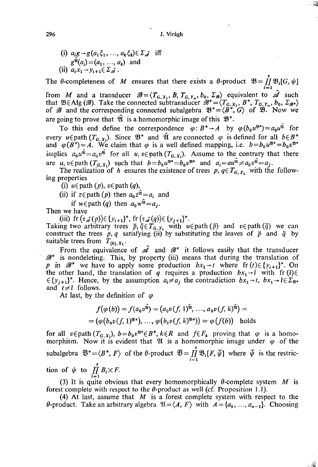(i)  $a_ig \rightarrow g(a_1\xi_1, ..., a_k\xi_k) \in \Sigma_{\hat{d}}$  iff  $g^{\tilde{q}}(a_i) = (a_1, ..., a_k)$  and (ii)  $a_i x_1 \rightarrow y_{i+1} \in \Sigma \hat{d}$ .

The  $\theta$ -completeness of *M* ensures that there exists a  $\theta$ -product  $\mathfrak{B} = \prod^s \mathfrak{B}_i[G, \psi]$ 

**¡ = 1**  from *M* and a transducer  $\mathcal{B} = (T_{G,X_1}, B, T_{G,Y_n}, D_0, \mathcal{L}_{\mathcal{B}})$  equivalent to  $\mathcal{B}$  such<br>that  $\mathfrak{D} \in \Lambda$  of  $\mathcal{B}$ . Take the connected subtransducer  $\mathcal{B}^* = \langle T, D^* | T \rangle = \mathcal{B}^*$ that  $\omega \in \mathcal{A}$  and the connected subtransposition  $\mathcal{B}^* = \langle I \circ X, I \circ J, I \circ \mathcal{B}, \mathcal{B}^* \rangle$  by  $\mathcal{A}^* \circ \mathcal{B}^*$ of  $\omega$  and the corresponding connected subalgebra  $\omega = \omega$ ,  $\omega$ ,  $\omega$ . Now we are going to prove that  $\hat{\mathfrak{A}}$  is a homomorphic image of this  $\mathfrak{B}^*$ .

To this end define the correspondence  $\varphi: B^* \to A$  by  $\varphi(b_0 u^{*}) = a_0 u^u$  for every  $u \in \text{path}(T_{G,X_1})$ . Since  $\mathcal{B}^+$  and  $\mathcal{U}$  are connected  $\varphi$  is defined for all  $b \in B^+$ and  $\varphi(B^*) = A$ . We claim that  $\varphi$  is a well defined mapping, i.e.  $b = b_0 u^{\omega} = b_0 v^{\omega}$ implies  $a_0u^{\hat{u}}=a_0v^{\hat{u}}$  for all  $u, v \in \text{path}(T_{G,X_1})$ . Assume to the contrary that there are  $u, v \in \text{path } (T_{G,X_1})$  such that  $b = b_0 u^{g*} = b_0 v^{g*}$  and  $a_i = au^u \neq a_0 v^u = a_j$ .

The realization of *h* ensures the existence of trees  $p, q \in T_{G,X}$ , with the following properties

(i)  $u \in \text{path}(p)$ ,  $v \in \text{path}(q)$ ,

- (ii) if  $z \in \text{path}(p)$  then  $a_0 z^{\mathfrak{A}} = a_i$  and
- if  $w \in \text{path}(q)$  then  $a_0 w^{\mathfrak{A}} = a_j$ .

Then we have

(iii) fr  $(\tau_{\mathcal{A}}(p)) \in \{y_{i+1}\}^*$ , fr  $(\tau_{\mathcal{A}}(q)) \in \{y_{j+1}\}^*$ .

Taking two arbitrary trees  $\bar{p}, \bar{q} \in T_{G,X_1}$  with  $u \in \text{path}(\bar{p})$  and  $v \in \text{path}(\bar{q})$  we can construct the trees *p, q* satisfying (ii) by substituting the leaves of *p* and *q* by suitable trees from  $T_{\{h\}, X_1}$ .

From the equivalence of  $\hat{\mathscr{A}}$  and  $\mathscr{B}^*$  it follows easily that the transducer *38\** is nondeleting. This, by property (iii) means that during the translation of *p* in  $\mathscr{B}^*$  we have to apply some production  $bx_1 \rightarrow t$  where fr  $(t) \in \{y_{i+1}\}^*$ . On the other hand, the translation of  $q$  requires a production  $bx_1 \rightarrow \overline{t}$  with  $f(r) \in$  $\{y_{i+1}\}^*$ . Hence, by the assumption  $a_i \neq a_i$ , the contradiction  $bx_i \rightarrow t$ ,  $bx_i \rightarrow \overline{t} \in \Sigma_{\mathfrak{B}^*}$ and  $t \neq \overline{t}$  follows.

At last, by the definition of  $\varphi$ 

$$
f(\varphi(b)) = f(a_0 v^{\hat{\mathbf{u}}}) = (a_0 v(f, 1)^{\hat{\mathbf{u}}}, \dots, a_0 v(f, k)^{\hat{\mathbf{u}}}) =
$$
  
=  $(\varphi(b_0 v(f, 1)^{\mathbf{u}+}), \dots, \varphi(b_0 v(f, k)^{\mathbf{u}+}) = \varphi(f(b))$  holds

for all  $v \in \text{path}(T_{G,X_1}), b = b_0 v^{3*} \in B^*, k \in R$  and  $f \in F_k$  proving that  $\varphi$  is a homomorphism. Now it is evident that  $\mathfrak U$  is a homomorphic image under  $\varphi$  of the subalgebra  $\overline{\mathfrak{B}}^* = \langle B^*, F \rangle$  of the  $\theta$ -product  $\overline{\mathfrak{B}} = \prod_{i=1}^s \mathfrak{B}_i[F, \overline{\psi}]$  where  $\overline{\psi}$  is the restriction of  $\psi$  to  $\prod_{i=1} B_i \times F$ .

(3) It is quite obvious that every homomorphically  $\theta$ -complete system  $M$  is forest complete with respect to the  $\theta$ -product as well (cf. Proposition 1.1).

(4) At last, assume that  $M$  is a forest complete system with respect to the  $\theta$ -product. Take an arbitrary algebra  $\mathfrak{A} = \langle A, F \rangle$  with  $A = \{a_0, ..., a_{n-1}\}$ . Choosing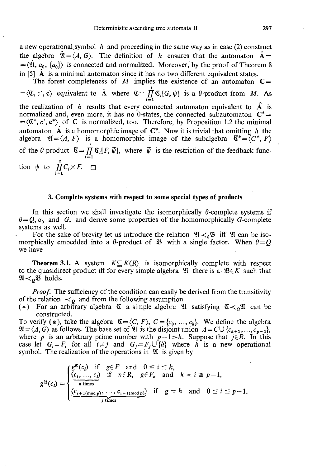a new operational.symbol *h* and proceeding in the same way as in case (2) construct the algebra  $\hat{\mathfrak{A}} = \langle A, G \rangle$ . The definition of h ensures that the automaton  $\hat{A} =$  $=\langle \hat{\mathfrak{A}}, a_0, \{a_0\} \rangle$  is connected and normalized. Moreover, by the proof of Theorem 8 in [5] A is a minimal automaton since it has no two different equivalent states.

The forest completeness of  $M$  implies the existence of an automaton  $C =$ i  $=\langle \mathfrak{C}, c', \mathfrak{c} \rangle$  equivalent to A where  $\mathfrak{C} = \prod \mathfrak{C}_i[G, \psi]$  is a 0-product from *M.* As  $i=1$ the realization of *h* results that every connected automaton equivalent to A is normalized and, even more, it has no 0-states, the connected subautomaton  $C^*$  =  $=\langle \mathfrak{C}^*, c', \mathfrak{c}^* \rangle$  of C is normalized, too. Therefore, by Proposition 1.2 the minimal automaton  $\hat{A}$  is a homomorphic image of  $C^*$ . Now it is trivial that omitting h the algebra  $\mathfrak{A} = \langle A, F \rangle$  is a homomorphic image of the subalgebra  $\mathfrak{C}^* = \langle C^*, F \rangle$ of the  $\theta$ -product  $\overline{\mathfrak{C}} = \prod_{i=1}^{r} \mathfrak{C}_{i} [F, \overline{\psi}]$ , where  $\overline{\psi}$  is the restriction of the feedback func- $\frac{11}{1}$ tion  $\psi$  to  $\prod_{i=1}^{t} C_i \times F$ .  $\Box$ 

### **3. Complete systems with respect to some special types of products**

In this section we shall investigate the isomorphically  $\theta$ -complete systems if  $\theta = Q$ ,  $\alpha_0$  and *G*, and derive some properties of the homomorphically *G*-complete systems as well.

For the sake of brevity let us introduce the relation  $\mathfrak{A} \lt^{\theta} \mathfrak{B}$  iff  $\mathfrak{A}$  can be isomorphically embedded into a  $\theta$ -product of  $\mathcal{B}$  with a single factor. When  $\theta = Q$ we have

**Theorem 3.1.** A system  $K \subseteq K(R)$  is isomorphically complete with respect to the quasidirect product iff for every simple algebra  $\mathfrak{A}$  there is a  $\mathfrak{B} \in K$  such that  $\mathfrak{A} \lt_{\mathcal{Q}} \mathfrak{B}$  holds.

*Proof.* The sufficiency of the condition can easily be derived from the transitivity of the relation  $\prec_o$  and from the following assumption

(\*) For an arbitrary algebra  $\mathfrak C$  a simple algebra  $\mathfrak A$  satisfying  $\mathfrak C\prec_0\mathfrak A$  can be constructed.

To verify (\*), take the algebra  $\mathfrak{C} = \langle C, F \rangle$ ,  $C = \{c_0, ..., c_k\}$ . We define the algebra  $\mathfrak{A} = \langle A, G \rangle$  as follows. The base set of  $\mathfrak A$  is the disjoint union  $A = C \cup \{c_{k+1}, \ldots, c_{p-1}\},$ where *p* is an arbitrary prime number with  $p-1 > k$ . Suppose that  $j \in R$ . In this case let  $G_i = F_i$  for all  $i \neq j$  and  $G_j = F_j \cup \{h\}$  where *h* is a new operational symbol. The realization of the operations in  $\mathfrak A$  is given by

$$
g^{\mathfrak{A}}(c_i) = \begin{cases} g^{\mathfrak{C}}(c_i) & \text{if } g \in F \text{ and } 0 \leq i \leq k, \\ \frac{(c_i, \ldots, c_i)}{n \text{ times}} & \text{if } n \in R, g \in F_n \text{ and } k < i \leq p-1, \\ \frac{(c_{i+1 \pmod{p}}, \ldots, c_{i+1 \pmod{p}})}{j \text{ times}} & \text{if } g = h \text{ and } 0 \leq i \leq p-1. \end{cases}
$$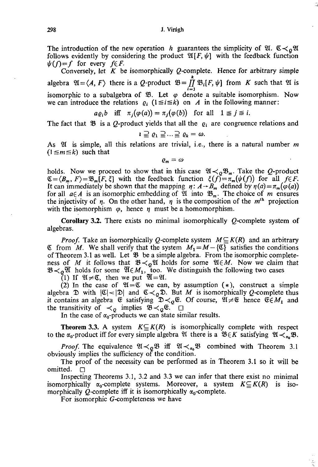#### 298 J. Virágh

The introduction of the new operation *h* guarantees the simplicity of  $\mathfrak{A}$ .  $\mathfrak{C} \prec_{\rho} \mathfrak{A}$ follows evidently by considering the product  $\mathfrak{A}[F,\psi]$  with the feedback function  $\psi(f)=f$  for every  $f \in F$ .

Conversely, let  $K$  be isomorphically  $Q$ -complete. Hence for arbitrary simple *k*  algebra  $\mathfrak{A} = \langle A, F \rangle$  there is a Q-product  $\mathfrak{B} = \prod_{i=1}^r \mathfrak{B}_i[F, \psi]$  from K such that  $\mathfrak{A}$  is isomorphic to a subalgebra of  $\mathfrak{B}$ . Let  $\varphi$  denote a suitable isomorphism. Now we can introduce the relations  $\rho_i$  ( $1 \le i \le k$ ) on *A* in the following manner:

$$
a\varrho_i b
$$
 iff  $\pi_i(\varphi(a)) = \pi_i(\varphi(b))$  for all  $1 \leq j \leq i$ .

The fact that  $\mathfrak{B}$  is a Q-product yields that all the  $q_i$  are congruence relations and

$$
\iota \supseteq \varrho_1 \supseteq \ldots \supseteq \varrho_k = \omega.
$$

As  $\mathfrak A$  is simple, all this relations are trivial, i.e., there is a natural number m  $(1 \le m \le k)$  such that

 $\varrho_m = \omega$ 

holds. Now we proceed to show that in this case  $\mathfrak{A} \prec_{\rho} \mathfrak{B}_m$ . Take the Q-product  $\mathfrak{C}=\langle B_m, F\rangle=\mathfrak{B}_m[F, \xi]$  with the feedback function  $\xi(f)=\pi_m(\psi(f))$  for all  $f\in F$ . It can immediately be shown that the mapping  $\eta: A \rightarrow B_m$  defined by  $\eta(a) = \pi_m(\varphi(a))$ for all  $a \in A$  is an isomorphic embedding of  $\mathfrak{A}$  into  $\mathfrak{B}_m$ . The choice of m ensures the injectivity of  $\eta$ . On the other hand,  $\eta$  is the composition of the m<sup>th</sup> projection with the isomorphism  $\varphi$ , hence  $\eta$  must be a homomorphism.

**Corollary 3.2.** There exists no minimal isomorphically Q-complete system of algebras.

*Proof.* Take an isomorphically Q-complete system  $M \subseteq K(R)$  and an arbitrary  $\mathfrak C$  from *M*. We shall verify that the system  $M_1 = M - \{\mathfrak C\}$  satisfies the conditions of Theorem 3.1 as well. Let  $\mathfrak B$  be a simple algebra. From the isomorphic completeness of M it follows that  $\mathfrak{B} \lt_{\Omega} \mathfrak{A}$  holds for some  $\mathfrak{A} \in M$ . Now we claim that  $\mathfrak{B}\n\prec_{\rho}\mathfrak{A}$  holds for some  $\mathfrak{A}\n\in M_1$ , too. We distinguish the following two cases

(1) If  $\mathfrak{A} \neq \mathfrak{C}$ , then we put  $\mathfrak{A} = \mathfrak{A}$ .

(2) In the case of  $\mathfrak{A} = \mathfrak{C}$  we can, by assumption  $(*)$ , construct a simple algebra  $\mathfrak D$  with  $|\mathfrak C|<|\mathfrak D|$  and  $\mathfrak C\lt_{Q}\mathfrak D$ . But *M* is isomorphically *Q*-complete thus it contains an algebra  $\mathfrak{E}$  satisfying  $\mathfrak{D}\lt_{0}\mathfrak{E}$ . Of course,  $\mathfrak{A}\neq\mathfrak{E}$  hence  $\mathfrak{E}\in M_{1}$  and the transitivity of  $\lt_Q$  implies  $\mathfrak{B}\lt_Q\mathfrak{E}$ .  $\Box$ 

In the case of  $\alpha_0$ -products we can state similar results.

**Theorem 3.3.** A system  $K \subseteq K(R)$  is isomorphically complete with respect to the  $\alpha_0$ -product iff for every simple algebra 21 there is a  $\mathfrak{B}_{\epsilon} K$  satisfying  $\mathfrak{A}_{\leq \alpha} \mathfrak{B}$ .

*Proof.* The equivalence  $\mathfrak{A} \lt_{\mathfrak{Q}} \mathfrak{B}$  iff  $\mathfrak{A} \lt_{\mathfrak{a}_0} \mathfrak{B}$  combined with Theorem 3.1 obviously implies the sufficiency of the condition.

The proof of the necessity can be performed as in Theorem 3.1 so it will be omitted.  $\Box$ 

Inspecting Theorems 3.1, 3.2 and 3.3 we can infer that there exist no minimal isomorphically  $\alpha_0$ -complete systems. Moreover, a system  $K \subseteq K(R)$  is isomorphically Q-complete iff it is isomorphically  $\alpha_0$ -complete.

For isomorphic G-completeness we have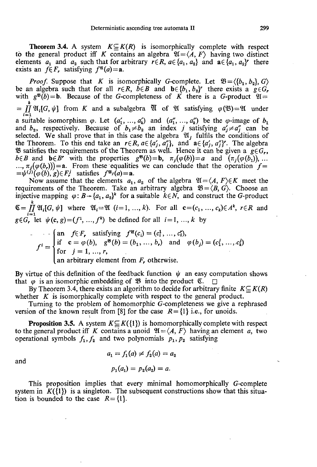**Theorem 3.4.** A system  $K \subseteq K(R)$  is isomorphically complete with respect to the general product iff *K* contains an algebra  $\mathfrak{A} = \langle A, F \rangle$  having two distinct elements  $a_1$  and  $a_2$  such that for arbitrary  $r \in R$ ,  $a \in \{a_1, a_2\}$  and  $a \in \{a_1, a_2\}$  there exists an  $f \in F_r$ , satisfying  $f^{\mathfrak{A}}(a) = a$ .

*Proof.* Suppose that *K* is isomorphically G-complete. Let  $\mathfrak{B} = \langle \{b_1, b_2\}, G \rangle$ be an algebra such that for all  $r \in R$ ,  $\overline{b} \in B$  and  $\mathbf{b} \in \{b_1, b_2\}$  there exists a  $g \in G_r$ with  $g^{35}(b) = b$ . Because of the G-completeness of  $\overrightarrow{K}$  there is a G-product  $\mathfrak{A} =$ *k*   $= \iint \mathfrak{A}_i[G, \psi]$  from *K* and a subalgebra  $\mathfrak{A}$  of  $\mathfrak{A}$  satisfying  $\varphi(\mathfrak{B}) = \mathfrak{A}$  under **¡=i**  a suitable isomorphism  $\varphi$ . Let  $(a_1, ..., a_k)$  and  $(a_1, ..., a_k)$  be the  $\varphi$ -image of  $b_1$ and  $b_2$ , respectively. Because of  $b_1 \neq b_2$  an index *j* satisfying  $a'_j \neq a''_j$  can be selected. We shall prove that in this case the algebra  $\mathfrak{A}_i$  fulfils the conditions of the Theorem. To this end take an  $r \in R$ ,  $a \in \{a'_i, a''_i\}$ , and  $a \in \{a'_i, a''_i\}$ . The algebra B satisfies the requirements of the Theorem as well. Hence it can be given a  $g \in G_r$ ,  $b \in B$  and  $b \in B$ <sup>*r*</sup> with the properties  $g^{g}(b) = b$ ,  $\pi_j(\varphi(b)) = a$  and  $(\pi_j(\varphi(b_1)), \dots$  $\ldots$ ,  $\pi_l(\varphi(b_r))$  = **a**. From these equalities we can conclude that the operation  $f =$  $=\psi^{(j)}(\varphi(b),g) \in F_r^j$  satisfies  $f^{\mathfrak{A}_j}(a) = \mathbf{a}$ .

Now assume that the elements  $a_1, a_2$  of the algebra  $\mathfrak{A} = \langle A, F \rangle \in K$  meet the requirements of the Theorem. Take an arbitrary algebra  $\mathfrak{B} = \langle B, G \rangle$ . Choose an injective mapping  $\varphi$ :  $B \rightarrow \{a_1, a_2\}^k$  for a suitable  $k \in N$ , and construct the G-product  $\mathfrak{C} = \prod_{i=1}^{n} \mathfrak{A}_{i} [G, \psi]$  where  $\mathfrak{A}_{i} = \mathfrak{A}$  (*i*=1, ..., *k*). For all  $\mathbf{c} = (c_1, ..., c_k) \in A^k$ ,  $r \in R$  and  $g \in G_r$  let  $\psi(c, g) = (f^1, ..., f^k)$  be defined for all  $i = 1, ..., k$  by

$$
f^{i} = \begin{cases} \text{an} & f \in F_r \text{ satisfying } f^{\mathfrak{A}}(c_i) = (c_1^1, \dots, c_i^r), \\ \text{if } & \mathbf{c} = \varphi(b), \quad g^{\mathfrak{B}}(b) = (b_1, \dots, b_r) \quad \text{and} \quad \varphi(b_j) = (c_1^j, \dots, c_k^j) \\ \text{for } & j = 1, \dots, r, \\ \text{an arbitrary element from } F_r \text{ otherwise.} \end{cases}
$$

By virtue of this definition of the feedback function  $\psi$  an easy computation shows that  $\varphi$  is an isomorphic embedding of  $\mathfrak{B}$  into the product  $\mathfrak{C}$ .  $\Box$ 

By Theorem 3.4, there exists an algorithm to decide for arbitrary finite  $K \subseteq K(R)$ whether *K* is isomorphically complete with respect to the general product.

Turning to the problem of homomorphic G-completeness we give a rephrased version of the known result from [8] for the case  $R = \{1\}$  i.e., for unoids.

**Proposition 3.5.** A system  $K \subseteq K({1})$  is homomorphically complete with respect to the general product iff *K* contains a unoid  $\mathfrak{A} = \langle A, F \rangle$  having an element *a*, two operational symbols  $f_1, f_2$  and two polynomials  $p_1, p_2$  satisfying

$$
a_1 = f_1(a) \neq f_2(a) = a_2
$$
  

$$
p_1(a_1) = p_2(a_2) = a.
$$

This proposition implies that every minimal homomorphically G-complete system in  $K({\{1\}})$  is a singleton. The subsequent constructions show that this situation is bounded to the case *R=* {1}.

and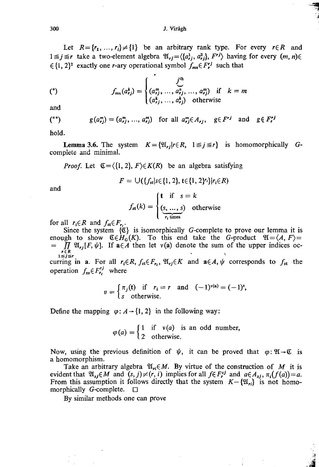Let  $R = \{r_1, ..., r_i\} \neq \{1\}$  be an arbitrary rank type. For every  $r \in R$  and  $1 \leq j \leq r$  take a two-element algebra  $\mathfrak{A}_{rj} = \langle \{a_{rj}^1, a_{rj}^2\}, F^{rj} \rangle$  having for every  $(m, n) \in \mathfrak{A}_{rj}$  $\in \{1, 2\}^2$  exactly one *r*-ary operational symbol  $f_{mn} \in F_r^j$  such that

(\*)  

$$
f_{mn}(a_{rj}^k) = \begin{cases} j^{th} & \text{if } k = m \\ (a_{rj}^m, ..., a_{rj}^n, ..., a_{rj}^m) & \text{if } k = m \\ (a_{rj}^k, ..., a_{rj}^k) & \text{otherwise} \end{cases}
$$

and

$$
(*)\qquad g(a_{rj}^m) = (a_{rj}^m, \ldots, a_{rj}^m) \quad \text{for all } a_{rj}^m \in A_{rj}, \quad g \in F^{rj} \quad \text{and} \quad g \notin F_r^{rj}
$$

hold.

**Lemma 3.6.** The system  $K = \{ \mathfrak{A}_r | r \in R, 1 \leq j \leq r \}$  is homomorphically Gcomplete and minimal.

*Proof.* Let  $\mathfrak{C} = \langle \{1, 2\}, F \rangle \in K(R)$  be an algebra satisfying

$$
F = \bigcup (\{f_{st}|s\in\{1,2\}, t\in\{1,2\}^r\}|r_i\in R)
$$

and

$$
f_{\text{st}}(k) = \begin{cases} \mathbf{t} & \text{if } s = k \\ \frac{(s, \dots, s)}{r_i \text{ times}} & \text{otherwise} \end{cases}
$$

for all  $r_i \in R$  and  $f_{st} \in F_{r_i}$ .

Since the system  $\{\mathfrak{C}\}\$  is isomorphically G-complete to prove our lemma it is enough to show  $\mathfrak{C} \in H_G(K)$ . To this end take the *G*-product  $\mathfrak{A} = \langle A, F \rangle =$ =  $\iint_{r \in R} \mathfrak{A}_{rj}[F,\psi]$ . If  $a \in A$  then let  $v(a)$  denote the sum of the upper indices oc- $1 \leq j \leq r$ 

curring in a. For all  $r_i \in K$ ,  $f_{st} \in F_r$ ,  $\mathfrak{A}_{r} \in K$  and  $\mathfrak{a} \in A$ ,  $\psi$  corresponds to  $f_{st}$  the operation  $f_{s\nu} \in F_{r_i}^{\prime\prime}$  where

$$
v = \begin{cases} \pi_j(\mathbf{t}) & \text{if } r_i = r \text{ and } (-1)^{v(\mathbf{a})} = (-1)^s, \\ s & \text{otherwise.} \end{cases}
$$

Define the mapping  $\varphi$ :  $A \rightarrow \{1, 2\}$  in the following way:

$$
\varphi(a) = \begin{cases} 1 & \text{if } v(a) \text{ is an odd number,} \\ 2 & \text{otherwise.} \end{cases}
$$

Now, using the previous definition of  $\psi$ , it can be proved that  $\varphi: \mathfrak{A} \rightarrow \mathfrak{C}$  is a homomorphism.

Take an arbitrary algebra  $\mathfrak{A}_n \in M$ . By virtue of the construction of M it is evident that  $\mathfrak{A}_{sj} \in M$  and  $(s, j) \neq (r, i)$  implies for all  $f \in F_r^{\{s\}}$  and  $a \in A_{sj}$ ,  $\pi_i(f(a)) = a$ . From this assumption it follows directly that the system  $K-\{\mathfrak{A}_{ri}\}\$  is not homomorphically G-complete.  $\square$ 

By similar methods one can prove